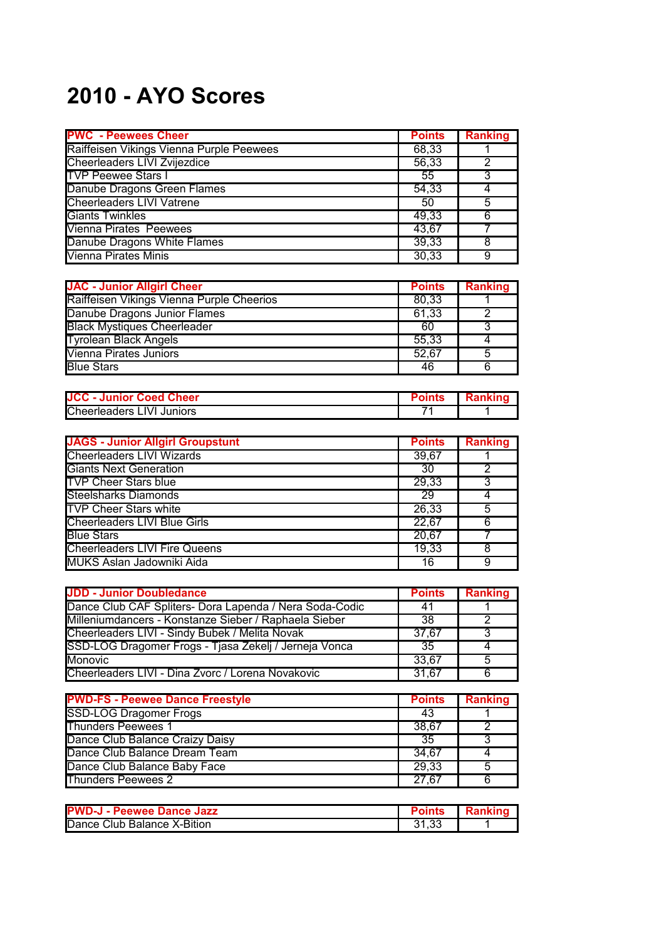## **2010 - AYO Scores**

| <b>PWC - Peewees Cheer</b>               | <b>Points</b> | <b>Ranking</b> |
|------------------------------------------|---------------|----------------|
| Raiffeisen Vikings Vienna Purple Peewees | 68,33         |                |
| Cheerleaders LIVI Zvijezdice             | 56,33         |                |
| <b>TVP Peewee Stars I</b>                | 55            | 3              |
| Danube Dragons Green Flames              | 54,33         |                |
| <b>Cheerleaders LIVI Vatrene</b>         | 50            | 5              |
| <b>Giants Twinkles</b>                   | 49,33         | 6              |
| <b>Vienna Pirates Peewees</b>            | 43,67         |                |
| Danube Dragons White Flames              | 39,33         | 8              |
| <b>Vienna Pirates Minis</b>              | 30,33         | 9              |

| <b>JAC - Junior Allgirl Cheer</b>         | <b>Points</b> | Ranking |
|-------------------------------------------|---------------|---------|
| Raiffeisen Vikings Vienna Purple Cheerios | 80.33         |         |
| Danube Dragons Junior Flames              | 61.33         |         |
| <b>Black Mystiques Cheerleader</b>        | 60            |         |
| <b>Tyrolean Black Angels</b>              | 55,33         |         |
| Vienna Pirates Juniors                    | 52,67         | 5       |
| <b>Blue Stars</b>                         | 46            |         |

| <b>JCC - Junior Coed Cheer</b>   | 'OINIS |  |
|----------------------------------|--------|--|
| <b>Cheerleaders LIVI Juniors</b> |        |  |

| <b>JAGS - Junior Allgirl Groupstunt</b> | <b>Points</b> | <b>Ranking</b> |
|-----------------------------------------|---------------|----------------|
| <b>Cheerleaders LIVI Wizards</b>        | 39,67         |                |
| <b>Giants Next Generation</b>           | 30            |                |
| <b>TVP Cheer Stars blue</b>             | 29,33         | 3              |
| <b>Steelsharks Diamonds</b>             | 29            |                |
| <b>TVP Cheer Stars white</b>            | 26,33         | 5              |
| <b>Cheerleaders LIVI Blue Girls</b>     | 22,67         | 6              |
| <b>Blue Stars</b>                       | 20,67         |                |
| <b>Cheerleaders LIVI Fire Queens</b>    | 19,33         | 8              |
| <b>MUKS Aslan Jadowniki Aida</b>        | 16            | 9              |

| <b>JDD - Junior Doubledance</b>                         | <b>Points</b> | <b>Ranking</b> |
|---------------------------------------------------------|---------------|----------------|
| Dance Club CAF Spliters- Dora Lapenda / Nera Soda-Codic | 41            |                |
| Milleniumdancers - Konstanze Sieber / Raphaela Sieber   | 38            |                |
| Cheerleaders LIVI - Sindy Bubek / Melita Novak          | 37.67         | 3              |
| SSD-LOG Dragomer Frogs - Tjasa Zekelj / Jerneja Vonca   | 35            |                |
| <b>Monovic</b>                                          | 33.67         | 5              |
| Cheerleaders LIVI - Dina Zvorc / Lorena Novakovic       | 31,67         | 6              |

| <b>PWD-FS - Peewee Dance Freestyle</b> | <b>Points</b> | <b>Ranking</b> |
|----------------------------------------|---------------|----------------|
| <b>SSD-LOG Dragomer Frogs</b>          | 43            |                |
| <b>Thunders Peewees 1</b>              | 38,67         |                |
| Dance Club Balance Craizy Daisy        | -35           |                |
| Dance Club Balance Dream Team          | 34.67         |                |
| Dance Club Balance Baby Face           | 29,33         | 5              |
| <b>Thunders Peewees 2</b>              | 27.67         |                |

| <b>PWD-J - Peewee Dance Jazz</b> |     | Rankind |
|----------------------------------|-----|---------|
| Dance Club Balance X-Bition      | .ں. |         |